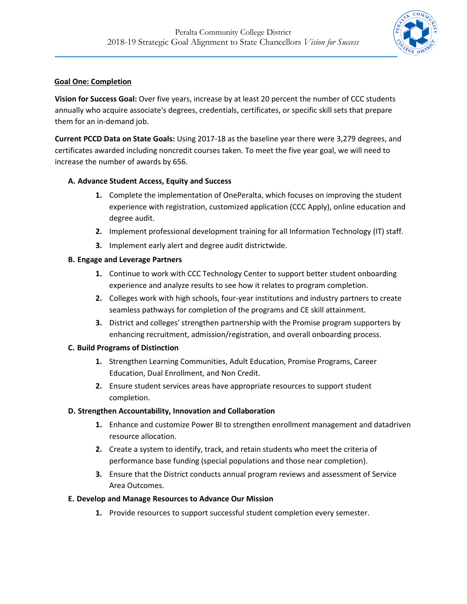

## **Goal One: Completion**

**Vision for Success Goal:** Over five years, increase by at least 20 percent the number of CCC students annually who acquire associate's degrees, credentials, certificates, or specific skill sets that prepare them for an in-demand job.

**Current PCCD Data on State Goals:** Using 2017-18 as the baseline year there were 3,279 degrees, and certificates awarded including noncredit courses taken. To meet the five year goal, we will need to increase the number of awards by 656.

# **A. Advance Student Access, Equity and Success**

- **1.** Complete the implementation of OnePeralta, which focuses on improving the student experience with registration, customized application (CCC Apply), online education and degree audit.
- **2.** Implement professional development training for all Information Technology (IT) staff.
- **3.** Implement early alert and degree audit districtwide.

# **B. Engage and Leverage Partners**

- **1.** Continue to work with CCC Technology Center to support better student onboarding experience and analyze results to see how it relates to program completion.
- **2.** Colleges work with high schools, four-year institutions and industry partners to create seamless pathways for completion of the programs and CE skill attainment.
- **3.** District and colleges' strengthen partnership with the Promise program supporters by enhancing recruitment, admission/registration, and overall onboarding process.

## **C. Build Programs of Distinction**

- **1.** Strengthen Learning Communities, Adult Education, Promise Programs, Career Education, Dual Enrollment, and Non Credit.
- **2.** Ensure student services areas have appropriate resources to support student completion.

## **D. Strengthen Accountability, Innovation and Collaboration**

- **1.** Enhance and customize Power BI to strengthen enrollment management and datadriven resource allocation.
- **2.** Create a system to identify, track, and retain students who meet the criteria of performance base funding (special populations and those near completion).
- **3.** Ensure that the District conducts annual program reviews and assessment of Service Area Outcomes.

## **E. Develop and Manage Resources to Advance Our Mission**

**1.** Provide resources to support successful student completion every semester.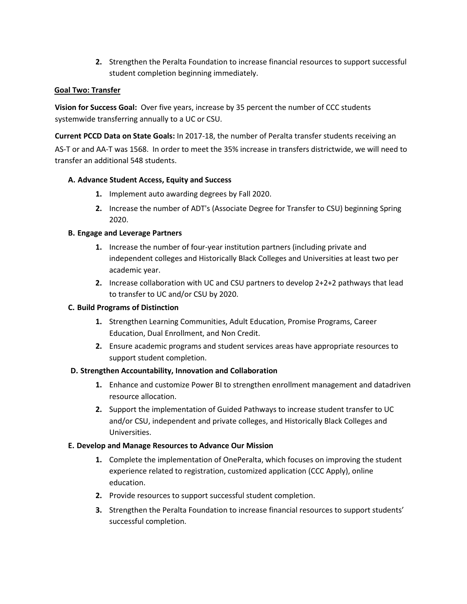**2.** Strengthen the Peralta Foundation to increase financial resources to support successful student completion beginning immediately.

### **Goal Two: Transfer**

**Vision for Success Goal:** Over five years, increase by 35 percent the number of CCC students systemwide transferring annually to a UC or CSU.

**Current PCCD Data on State Goals:** In 2017-18, the number of Peralta transfer students receiving an AS-T or and AA-T was 1568. In order to meet the 35% increase in transfers districtwide, we will need to transfer an additional 548 students.

## **A. Advance Student Access, Equity and Success**

- **1.** Implement auto awarding degrees by Fall 2020.
- **2.** Increase the number of ADT's (Associate Degree for Transfer to CSU) beginning Spring 2020.

## **B. Engage and Leverage Partners**

- **1.** Increase the number of four-year institution partners (including private and independent colleges and Historically Black Colleges and Universities at least two per academic year.
- **2.** Increase collaboration with UC and CSU partners to develop 2+2+2 pathways that lead to transfer to UC and/or CSU by 2020.

#### **C. Build Programs of Distinction**

- **1.** Strengthen Learning Communities, Adult Education, Promise Programs, Career Education, Dual Enrollment, and Non Credit.
- **2.** Ensure academic programs and student services areas have appropriate resources to support student completion.

#### **D. Strengthen Accountability, Innovation and Collaboration**

- **1.** Enhance and customize Power BI to strengthen enrollment management and datadriven resource allocation.
- **2.** Support the implementation of Guided Pathways to increase student transfer to UC and/or CSU, independent and private colleges, and Historically Black Colleges and Universities.

## **E. Develop and Manage Resources to Advance Our Mission**

- **1.** Complete the implementation of OnePeralta, which focuses on improving the student experience related to registration, customized application (CCC Apply), online education.
- **2.** Provide resources to support successful student completion.
- **3.** Strengthen the Peralta Foundation to increase financial resources to support students' successful completion.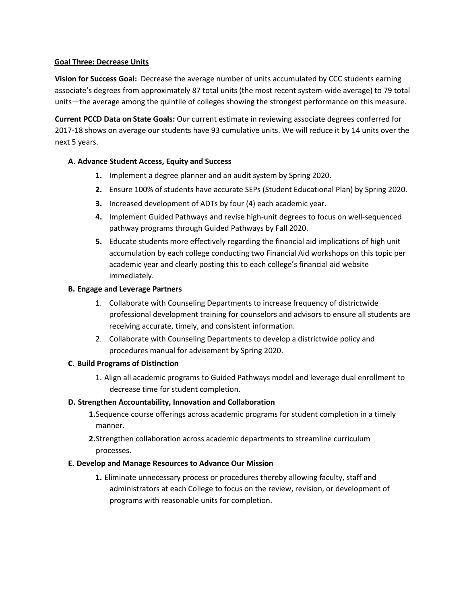### **Goal Three: Decrease Units**

**Vision for Success Goal:** Decrease the average number of units accumulated by CCC students earning associate's degrees from approximately 87 total units (the most recent system-wide average) to 79 total units—the average among the quintile of colleges showing the strongest performance on this measure.

**Current PCCD Data on State Goals:** Our current estimate in reviewing associate degrees conferred for 2017-18 shows on average our students have 93 cumulative units. We will reduce it by 14 units over the next 5 years.

## **A. Advance Student Access, Equity and Success**

- **1.** Implement a degree planner and an audit system by Spring 2020.
- **2.** Ensure 100% of students have accurate SEPs (Student Educational Plan) by Spring 2020.
- **3.** Increased development of ADTs by four (4) each academic year.
- **4.** Implement Guided Pathways and revise high-unit degrees to focus on well-sequenced pathway programs through Guided Pathways by Fall 2020.
- **5.** Educate students more effectively regarding the financial aid implications of high unit accumulation by each college conducting two Financial Aid workshops on this topic per academic year and clearly posting this to each college's financial aid website immediately.

#### **B. Engage and Leverage Partners**

- 1. Collaborate with Counseling Departments to increase frequency of districtwide professional development training for counselors and advisors to ensure all students are receiving accurate, timely, and consistent information.
- 2. Collaborate with Counseling Departments to develop a districtwide policy and procedures manual for advisement by Spring 2020.

#### **C. Build Programs of Distinction**

1. Align all academic programs to Guided Pathways model and leverage dual enrollment to decrease time for student completion.

#### **D. Strengthen Accountability, Innovation and Collaboration**

- **1.**Sequence course offerings across academic programs for student completion in a timely manner.
- **2.**Strengthen collaboration across academic departments to streamline curriculum processes.

#### **E. Develop and Manage Resources to Advance Our Mission**

**1.** Eliminate unnecessary process or procedures thereby allowing faculty, staff and administrators at each College to focus on the review, revision, or development of programs with reasonable units for completion.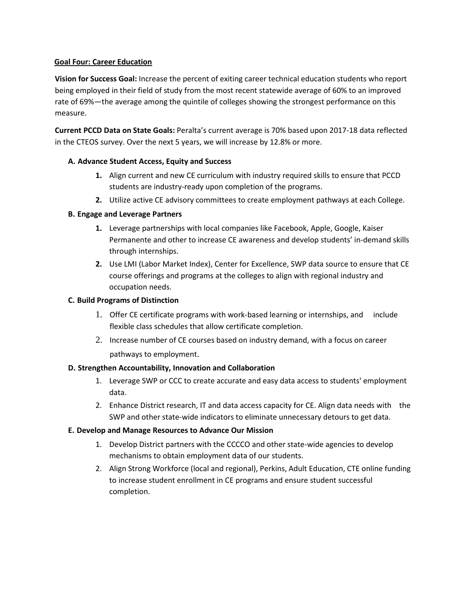### **Goal Four: Career Education**

**Vision for Success Goal:** Increase the percent of exiting career technical education students who report being employed in their field of study from the most recent statewide average of 60% to an improved rate of 69%—the average among the quintile of colleges showing the strongest performance on this measure.

**Current PCCD Data on State Goals:** Peralta's current average is 70% based upon 2017-18 data reflected in the CTEOS survey. Over the next 5 years, we will increase by 12.8% or more.

## **A. Advance Student Access, Equity and Success**

- **1.** Align current and new CE curriculum with industry required skills to ensure that PCCD students are industry-ready upon completion of the programs.
- **2.** Utilize active CE advisory committees to create employment pathways at each College.

#### **B. Engage and Leverage Partners**

- **1.** Leverage partnerships with local companies like Facebook, Apple, Google, Kaiser Permanente and other to increase CE awareness and develop students' in-demand skills through internships.
- **2.** Use LMI (Labor Market Index), Center for Excellence, SWP data source to ensure that CE course offerings and programs at the colleges to align with regional industry and occupation needs.

### **C. Build Programs of Distinction**

- 1. Offer CE certificate programs with work-based learning or internships, and include flexible class schedules that allow certificate completion.
- 2. Increase number of CE courses based on industry demand, with a focus on career pathways to employment.

#### **D. Strengthen Accountability, Innovation and Collaboration**

- 1. Leverage SWP or CCC to create accurate and easy data access to students' employment data.
- 2. Enhance District research, IT and data access capacity for CE. Align data needs with the SWP and other state-wide indicators to eliminate unnecessary detours to get data.

## **E. Develop and Manage Resources to Advance Our Mission**

- 1. Develop District partners with the CCCCO and other state-wide agencies to develop mechanisms to obtain employment data of our students.
- 2. Align Strong Workforce (local and regional), Perkins, Adult Education, CTE online funding to increase student enrollment in CE programs and ensure student successful completion.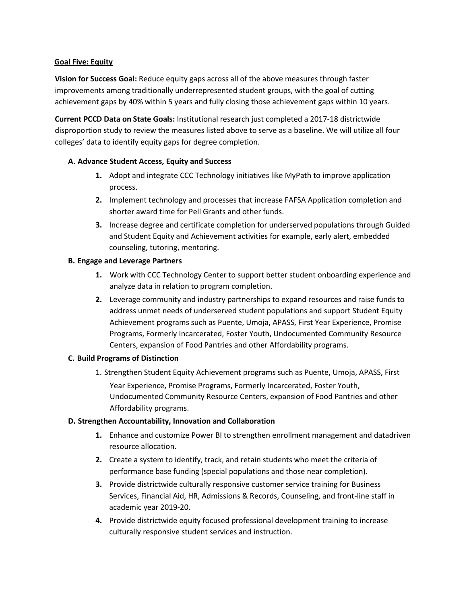## **Goal Five: Equity**

**Vision for Success Goal:** Reduce equity gaps across all of the above measures through faster improvements among traditionally underrepresented student groups, with the goal of cutting achievement gaps by 40% within 5 years and fully closing those achievement gaps within 10 years.

**Current PCCD Data on State Goals:** Institutional research just completed a 2017-18 districtwide disproportion study to review the measures listed above to serve as a baseline. We will utilize all four colleges' data to identify equity gaps for degree completion.

## **A. Advance Student Access, Equity and Success**

- **1.** Adopt and integrate CCC Technology initiatives like MyPath to improve application process.
- **2.** Implement technology and processes that increase FAFSA Application completion and shorter award time for Pell Grants and other funds.
- **3.** Increase degree and certificate completion for underserved populations through Guided and Student Equity and Achievement activities for example, early alert, embedded counseling, tutoring, mentoring.

#### **B. Engage and Leverage Partners**

- **1.** Work with CCC Technology Center to support better student onboarding experience and analyze data in relation to program completion.
- **2.** Leverage community and industry partnerships to expand resources and raise funds to address unmet needs of underserved student populations and support Student Equity Achievement programs such as Puente, Umoja, APASS, First Year Experience, Promise Programs, Formerly Incarcerated, Foster Youth, Undocumented Community Resource Centers, expansion of Food Pantries and other Affordability programs.

#### **C. Build Programs of Distinction**

1. Strengthen Student Equity Achievement programs such as Puente, Umoja, APASS, First Year Experience, Promise Programs, Formerly Incarcerated, Foster Youth, Undocumented Community Resource Centers, expansion of Food Pantries and other Affordability programs.

#### **D. Strengthen Accountability, Innovation and Collaboration**

- **1.** Enhance and customize Power BI to strengthen enrollment management and datadriven resource allocation.
- **2.** Create a system to identify, track, and retain students who meet the criteria of performance base funding (special populations and those near completion).
- **3.** Provide districtwide culturally responsive customer service training for Business Services, Financial Aid, HR, Admissions & Records, Counseling, and front-line staff in academic year 2019-20.
- **4.** Provide districtwide equity focused professional development training to increase culturally responsive student services and instruction.